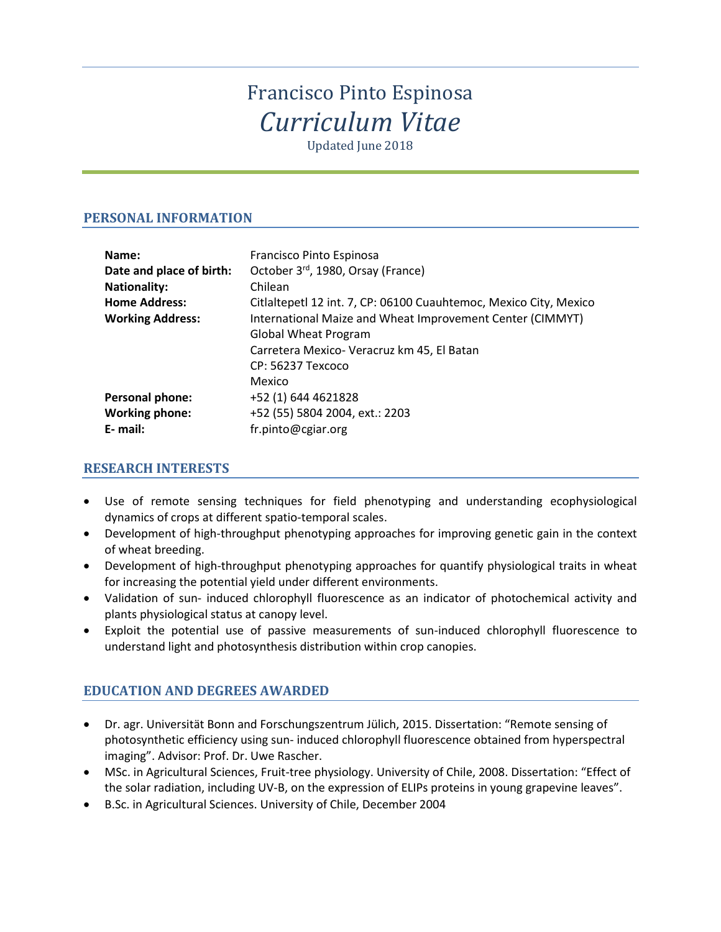# Francisco Pinto Espinosa *Curriculum Vitae*

Updated June 2018

# **PERSONAL INFORMATION**

| Name:                    | Francisco Pinto Espinosa                                          |
|--------------------------|-------------------------------------------------------------------|
| Date and place of birth: | October 3rd, 1980, Orsay (France)                                 |
| <b>Nationality:</b>      | Chilean                                                           |
| <b>Home Address:</b>     | Citlaltepetl 12 int. 7, CP: 06100 Cuauhtemoc, Mexico City, Mexico |
| <b>Working Address:</b>  | International Maize and Wheat Improvement Center (CIMMYT)         |
|                          | <b>Global Wheat Program</b>                                       |
|                          | Carretera Mexico- Veracruz km 45, El Batan                        |
|                          | CP: 56237 Texcoco                                                 |
|                          | Mexico                                                            |
| <b>Personal phone:</b>   | +52 (1) 644 4621828                                               |
| <b>Working phone:</b>    | +52 (55) 5804 2004, ext.: 2203                                    |
| E- mail:                 | fr.pinto@cgiar.org                                                |

# **RESEARCH INTERESTS**

- Use of remote sensing techniques for field phenotyping and understanding ecophysiological dynamics of crops at different spatio-temporal scales.
- Development of high-throughput phenotyping approaches for improving genetic gain in the context of wheat breeding.
- Development of high-throughput phenotyping approaches for quantify physiological traits in wheat for increasing the potential yield under different environments.
- Validation of sun- induced chlorophyll fluorescence as an indicator of photochemical activity and plants physiological status at canopy level.
- Exploit the potential use of passive measurements of sun-induced chlorophyll fluorescence to understand light and photosynthesis distribution within crop canopies.

# **EDUCATION AND DEGREES AWARDED**

- Dr. agr. Universität Bonn and Forschungszentrum Jülich, 2015. Dissertation: "Remote sensing of photosynthetic efficiency using sun- induced chlorophyll fluorescence obtained from hyperspectral imaging". Advisor: Prof. Dr. Uwe Rascher.
- MSc. in Agricultural Sciences, Fruit-tree physiology. University of Chile, 2008. Dissertation: "Effect of the solar radiation, including UV-B, on the expression of ELIPs proteins in young grapevine leaves".
- B.Sc. in Agricultural Sciences. University of Chile, December 2004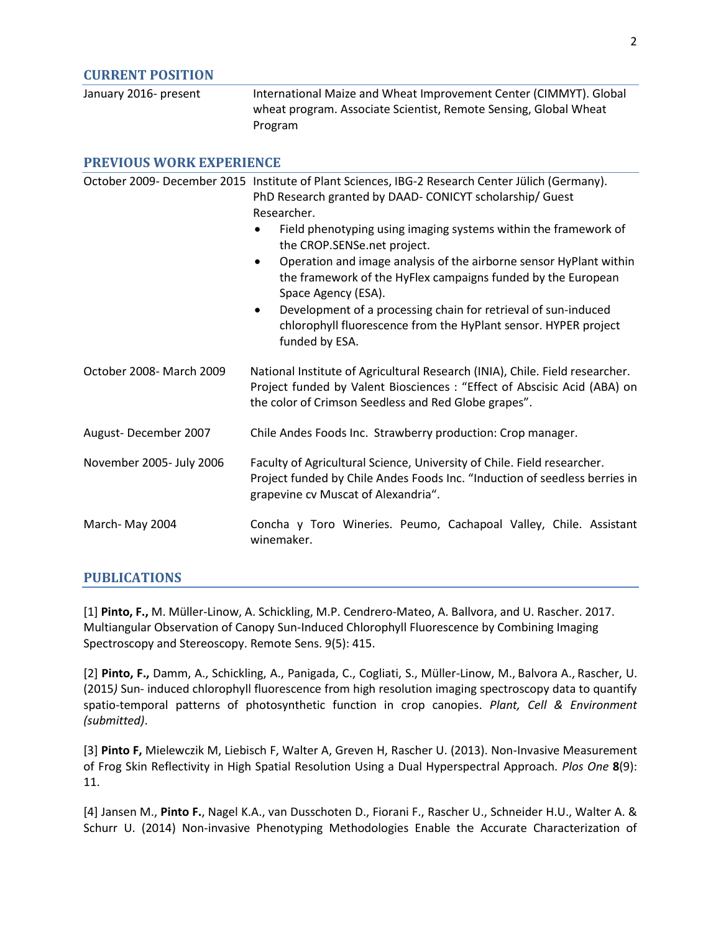#### **CURRENT POSITION**

| January 2016- present | International Maize and Wheat Improvement Center (CIMMYT). Global |
|-----------------------|-------------------------------------------------------------------|
|                       | wheat program. Associate Scientist, Remote Sensing, Global Wheat  |
|                       | Program                                                           |

# **PREVIOUS WORK EXPERIENCE** October 2009- December 2015 Institute of Plant Sciences, IBG-2 Research Center Jülich (Germany). PhD Research granted by DAAD- CONICYT scholarship/ Guest Researcher. • Field phenotyping using imaging systems within the framework of the CROP.SENSe.net project. • Operation and image analysis of the airborne sensor HyPlant within the framework of the HyFlex campaigns funded by the European Space Agency (ESA). • Development of a processing chain for retrieval of sun-induced chlorophyll fluorescence from the HyPlant sensor. HYPER project funded by ESA. October 2008- March 2009 National Institute of Agricultural Research (INIA), Chile. Field researcher. Project funded by Valent Biosciences : "Effect of Abscisic Acid (ABA) on the color of Crimson Seedless and Red Globe grapes". August- December 2007 Chile Andes Foods Inc. Strawberry production: Crop manager. November 2005- July 2006 Faculty of Agricultural Science, University of Chile. Field researcher. Project funded by Chile Andes Foods Inc. "Induction of seedless berries in grapevine cv Muscat of Alexandria". March- May 2004 Concha y Toro Wineries. Peumo, Cachapoal Valley, Chile. Assistant winemaker.

#### **PUBLICATIONS**

[1] **Pinto, F.,** M. Müller-Linow, A. Schickling, M.P. Cendrero-Mateo, A. Ballvora, and U. Rascher. 2017. Multiangular Observation of Canopy Sun-Induced Chlorophyll Fluorescence by Combining Imaging Spectroscopy and Stereoscopy. Remote Sens. 9(5): 415.

[2] **Pinto, F.,** Damm, A., Schickling, A., Panigada, C., Cogliati, S., Müller-Linow, M., Balvora A., Rascher, U. (2015*)* Sun- induced chlorophyll fluorescence from high resolution imaging spectroscopy data to quantify spatio-temporal patterns of photosynthetic function in crop canopies. *Plant, Cell & Environment (submitted)*.

[3] **Pinto F,** Mielewczik M, Liebisch F, Walter A, Greven H, Rascher U. (2013). Non-Invasive Measurement of Frog Skin Reflectivity in High Spatial Resolution Using a Dual Hyperspectral Approach. *Plos One* **8**(9): 11.

[4] Jansen M., **Pinto F.**, Nagel K.A., van Dusschoten D., Fiorani F., Rascher U., Schneider H.U., Walter A. & Schurr U. (2014) Non-invasive Phenotyping Methodologies Enable the Accurate Characterization of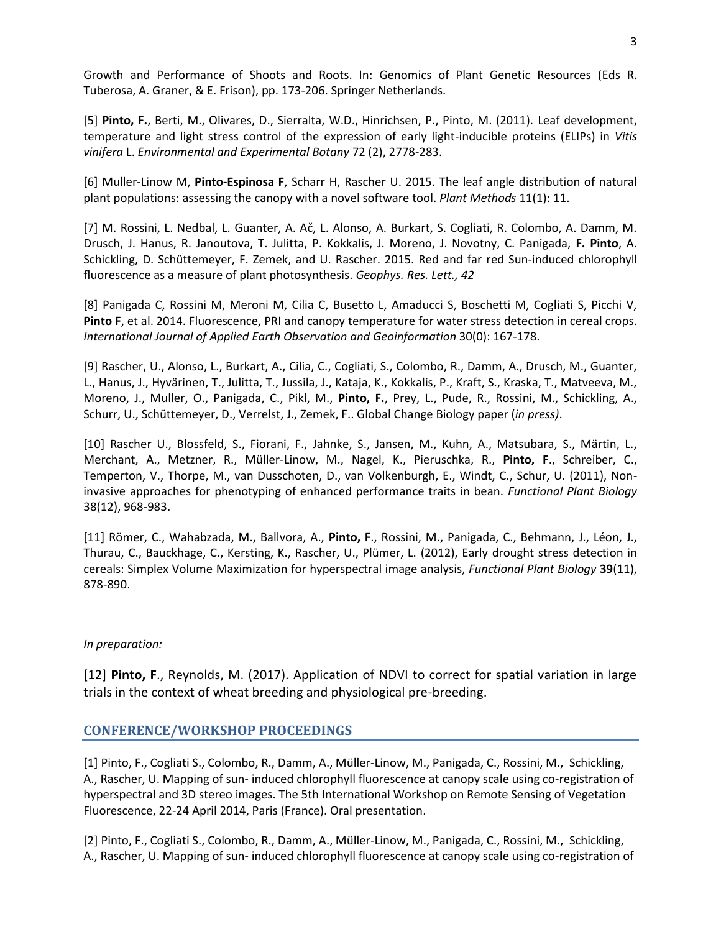Growth and Performance of Shoots and Roots. In: Genomics of Plant Genetic Resources (Eds R. Tuberosa, A. Graner, & E. Frison), pp. 173-206. Springer Netherlands.

[5] **Pinto, F.**, Berti, M., Olivares, D., Sierralta, W.D., Hinrichsen, P., Pinto, M. (2011). Leaf development, temperature and light stress control of the expression of early light-inducible proteins (ELIPs) in *Vitis vinifera* L. *Environmental and Experimental Botany* 72 (2), 2778-283.

[6] Muller-Linow M, **Pinto-Espinosa F**, Scharr H, Rascher U. 2015. The leaf angle distribution of natural plant populations: assessing the canopy with a novel software tool. *Plant Methods* 11(1): 11.

[7] M. Rossini, L. Nedbal, L. Guanter, A. Ač, L. Alonso, A. Burkart, S. Cogliati, R. Colombo, A. Damm, M. Drusch, J. Hanus, R. Janoutova, T. Julitta, P. Kokkalis, J. Moreno, J. Novotny, C. Panigada, **F. Pinto**, A. Schickling, D. Schüttemeyer, F. Zemek, and U. Rascher. 2015. Red and far red Sun-induced chlorophyll fluorescence as a measure of plant photosynthesis. *Geophys. Res. Lett., 42*

[8] Panigada C, Rossini M, Meroni M, Cilia C, Busetto L, Amaducci S, Boschetti M, Cogliati S, Picchi V, **Pinto F**, et al. 2014. Fluorescence, PRI and canopy temperature for water stress detection in cereal crops. *International Journal of Applied Earth Observation and Geoinformation* 30(0): 167-178.

[9] Rascher, U., Alonso, L., Burkart, A., Cilia, C., Cogliati, S., Colombo, R., Damm, A., Drusch, M., Guanter, L., Hanus, J., Hyvärinen, T., Julitta, T., Jussila, J., Kataja, K., Kokkalis, P., Kraft, S., Kraska, T., Matveeva, M., Moreno, J., Muller, O., Panigada, C., Pikl, M., **Pinto, F.**, Prey, L., Pude, R., Rossini, M., Schickling, A., Schurr, U., Schüttemeyer, D., Verrelst, J., Zemek, F.. Global Change Biology paper (*in press)*.

[10] Rascher U., Blossfeld, S., Fiorani, F., Jahnke, S., Jansen, M., Kuhn, A., Matsubara, S., Märtin, L., Merchant, A., Metzner, R., Müller-Linow, M., Nagel, K., Pieruschka, R., **Pinto, F**., Schreiber, C., Temperton, V., Thorpe, M., van Dusschoten, D., van Volkenburgh, E., Windt, C., Schur, U. (2011), Noninvasive approaches for phenotyping of enhanced performance traits in bean. *Functional Plant Biology* 38(12), 968-983.

[11] Römer, C., Wahabzada, M., Ballvora, A., **Pinto, F**., Rossini, M., Panigada, C., Behmann, J., Léon, J., Thurau, C., Bauckhage, C., Kersting, K., Rascher, U., Plümer, L. (2012), Early drought stress detection in cereals: Simplex Volume Maximization for hyperspectral image analysis, *Functional Plant Biology* **39**(11), 878-890.

#### *In preparation:*

[12] **Pinto, F**., Reynolds, M. (2017). Application of NDVI to correct for spatial variation in large trials in the context of wheat breeding and physiological pre-breeding.

### **CONFERENCE/WORKSHOP PROCEEDINGS**

[1] Pinto, F., Cogliati S., Colombo, R., Damm, A., Müller-Linow, M., Panigada, C., Rossini, M., Schickling, A., Rascher, U. Mapping of sun- induced chlorophyll fluorescence at canopy scale using co-registration of hyperspectral and 3D stereo images. The 5th International Workshop on Remote Sensing of Vegetation Fluorescence, 22-24 April 2014, Paris (France). Oral presentation.

[2] Pinto, F., Cogliati S., Colombo, R., Damm, A., Müller-Linow, M., Panigada, C., Rossini, M., Schickling, A., Rascher, U. Mapping of sun- induced chlorophyll fluorescence at canopy scale using co-registration of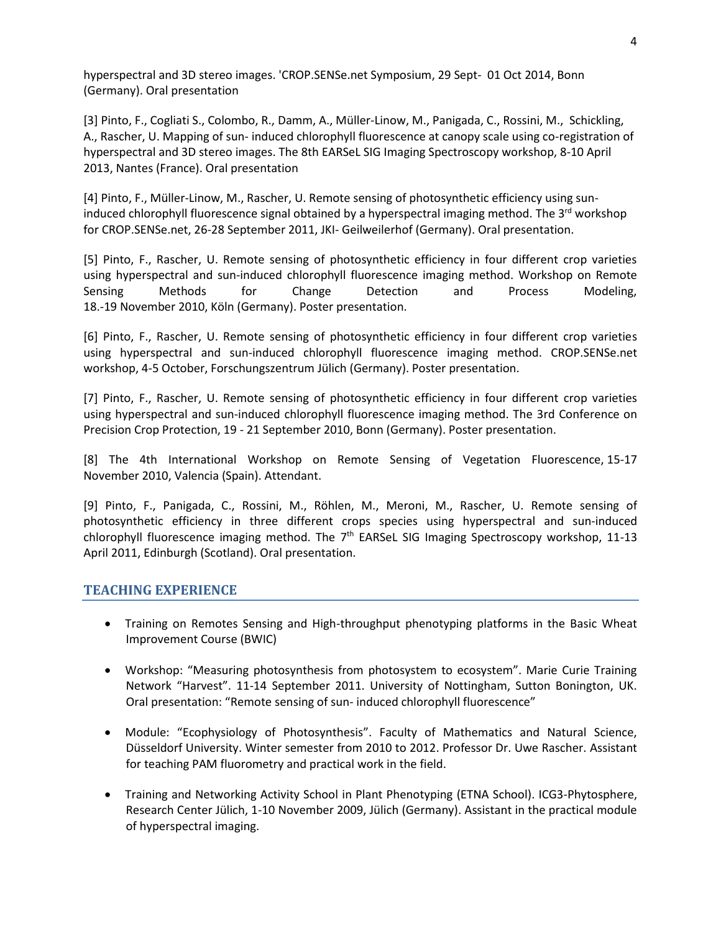hyperspectral and 3D stereo images. 'CROP.SENSe.net Symposium, 29 Sept- 01 Oct 2014, Bonn (Germany). Oral presentation

[3] Pinto, F., Cogliati S., Colombo, R., Damm, A., Müller-Linow, M., Panigada, C., Rossini, M., Schickling, A., Rascher, U. Mapping of sun- induced chlorophyll fluorescence at canopy scale using co-registration of hyperspectral and 3D stereo images. The 8th EARSeL SIG Imaging Spectroscopy workshop, 8-10 April 2013, Nantes (France). Oral presentation

[4] Pinto, F., Müller-Linow, M., Rascher, U. Remote sensing of photosynthetic efficiency using suninduced chlorophyll fluorescence signal obtained by a hyperspectral imaging method. The  $3^{\text{rd}}$  workshop for CROP.SENSe.net, 26-28 September 2011, JKI- Geilweilerhof (Germany). Oral presentation.

[5] Pinto, F., Rascher, U. Remote sensing of photosynthetic efficiency in four different crop varieties using hyperspectral and sun-induced chlorophyll fluorescence imaging method. Workshop on Remote Sensing Methods for Change Detection and Process Modeling, 18.-19 November 2010, Köln (Germany). Poster presentation.

[6] Pinto, F., Rascher, U. Remote sensing of photosynthetic efficiency in four different crop varieties using hyperspectral and sun-induced chlorophyll fluorescence imaging method. CROP.SENSe.net workshop, 4-5 October, Forschungszentrum Jülich (Germany). Poster presentation.

[7] Pinto, F., Rascher, U. Remote sensing of photosynthetic efficiency in four different crop varieties using hyperspectral and sun-induced chlorophyll fluorescence imaging method. The 3rd Conference on Precision Crop Protection, 19 - 21 September 2010, Bonn (Germany). Poster presentation.

[8] The 4th International Workshop on Remote Sensing of Vegetation Fluorescence, 15-17 November 2010, Valencia (Spain). Attendant.

[9] Pinto, F., Panigada, C., Rossini, M., Röhlen, M., Meroni, M., Rascher, U. Remote sensing of photosynthetic efficiency in three different crops species using hyperspectral and sun-induced chlorophyll fluorescence imaging method. The 7<sup>th</sup> EARSeL SIG Imaging Spectroscopy workshop, 11-13 April 2011, Edinburgh (Scotland). Oral presentation.

#### **TEACHING EXPERIENCE**

- Training on Remotes Sensing and High-throughput phenotyping platforms in the Basic Wheat Improvement Course (BWIC)
- Workshop: "Measuring photosynthesis from photosystem to ecosystem". Marie Curie Training Network "Harvest". 11-14 September 2011. University of Nottingham, Sutton Bonington, UK. Oral presentation: "Remote sensing of sun- induced chlorophyll fluorescence"
- Module: "Ecophysiology of Photosynthesis". Faculty of Mathematics and Natural Science, Düsseldorf University. Winter semester from 2010 to 2012. Professor Dr. Uwe Rascher. Assistant for teaching PAM fluorometry and practical work in the field.
- Training and Networking Activity School in Plant Phenotyping (ETNA School). ICG3-Phytosphere, Research Center Jülich, 1-10 November 2009, Jülich (Germany). Assistant in the practical module of hyperspectral imaging.